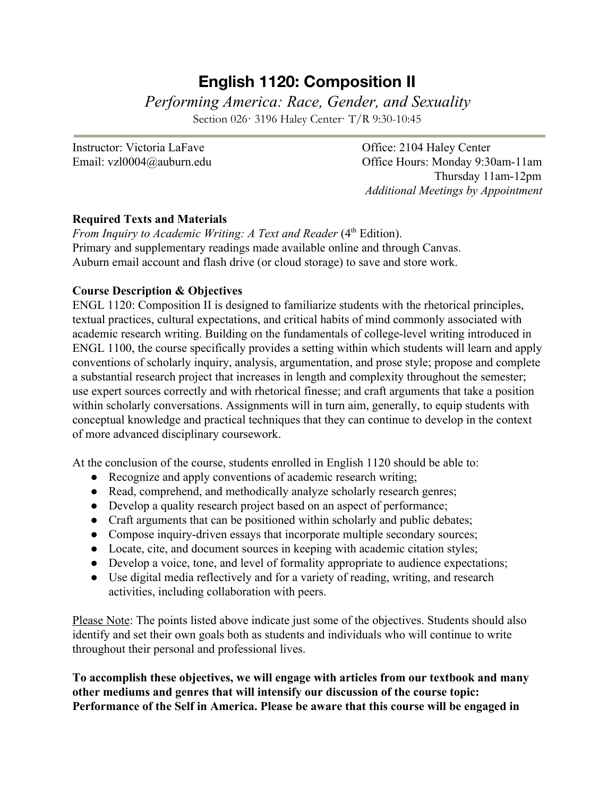# **English 1120: Composition II**

*Performing America: Race, Gender, and Sexuality*

Section 026· 3196 Haley Center· T/R 9:30-10:45

Instructor: Victoria LaFave Office: 2104 Haley Center

Email: vzl0004@auburn.edu Office Hours: Monday 9:30am-11am Thursday 11am-12pm *Additional Meetings by Appointment*

## **Required Texts and Materials**

From Inquiry to Academic Writing: A Text and Reader (4<sup>th</sup> Edition). Primary and supplementary readings made available online and through Canvas. Auburn email account and flash drive (or cloud storage) to save and store work.

## **Course Description & Objectives**

ENGL 1120: Composition II is designed to familiarize students with the rhetorical principles, textual practices, cultural expectations, and critical habits of mind commonly associated with academic research writing. Building on the fundamentals of college-level writing introduced in ENGL 1100, the course specifically provides a setting within which students will learn and apply conventions of scholarly inquiry, analysis, argumentation, and prose style; propose and complete a substantial research project that increases in length and complexity throughout the semester; use expert sources correctly and with rhetorical finesse; and craft arguments that take a position within scholarly conversations. Assignments will in turn aim, generally, to equip students with conceptual knowledge and practical techniques that they can continue to develop in the context of more advanced disciplinary coursework.

At the conclusion of the course, students enrolled in English 1120 should be able to:

- Recognize and apply conventions of academic research writing;
- Read, comprehend, and methodically analyze scholarly research genres;
- Develop a quality research project based on an aspect of performance;
- Craft arguments that can be positioned within scholarly and public debates;
- Compose inquiry-driven essays that incorporate multiple secondary sources;
- Locate, cite, and document sources in keeping with academic citation styles;
- Develop a voice, tone, and level of formality appropriate to audience expectations;
- Use digital media reflectively and for a variety of reading, writing, and research activities, including collaboration with peers.

Please Note: The points listed above indicate just some of the objectives. Students should also identify and set their own goals both as students and individuals who will continue to write throughout their personal and professional lives.

**To accomplish these objectives, we will engage with articles from our textbook and many other mediums and genres that will intensify our discussion of the course topic: Performance of the Self in America. Please be aware that this course will be engaged in**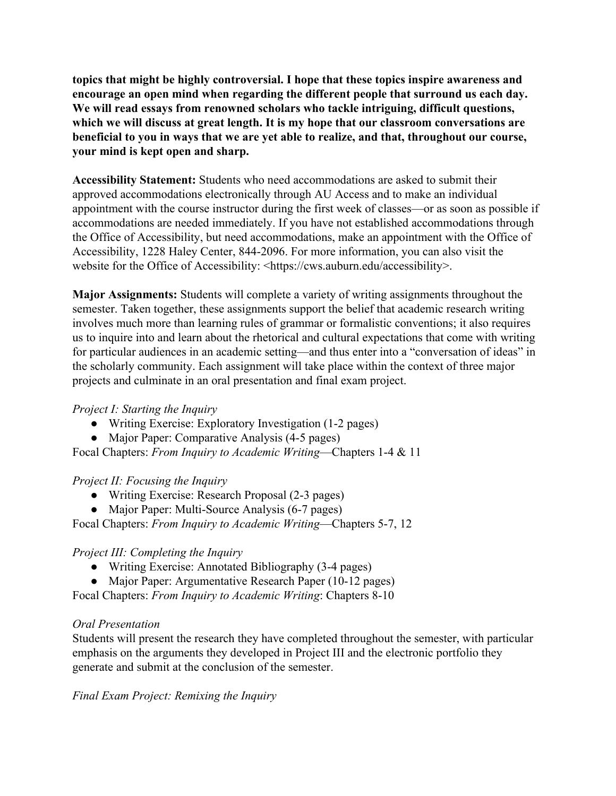**topics that might be highly controversial. I hope that these topics inspire awareness and encourage an open mind when regarding the different people that surround us each day. We will read essays from renowned scholars who tackle intriguing, difficult questions, which we will discuss at great length. It is my hope that our classroom conversations are beneficial to you in ways that we are yet able to realize, and that, throughout our course, your mind is kept open and sharp.**

**Accessibility Statement:** Students who need accommodations are asked to submit their approved accommodations electronically through AU Access and to make an individual appointment with the course instructor during the first week of classes—or as soon as possible if accommodations are needed immediately. If you have not established accommodations through the Office of Accessibility, but need accommodations, make an appointment with the Office of Accessibility, 1228 Haley Center, 844-2096. For more information, you can also visit the website for the Office of Accessibility: <https://cws.auburn.edu/accessibility>.

**Major Assignments:** Students will complete a variety of writing assignments throughout the semester. Taken together, these assignments support the belief that academic research writing involves much more than learning rules of grammar or formalistic conventions; it also requires us to inquire into and learn about the rhetorical and cultural expectations that come with writing for particular audiences in an academic setting—and thus enter into a "conversation of ideas" in the scholarly community. Each assignment will take place within the context of three major projects and culminate in an oral presentation and final exam project.

#### *Project I: Starting the Inquiry*

- Writing Exercise: Exploratory Investigation (1-2 pages)
- Major Paper: Comparative Analysis (4-5 pages)

Focal Chapters: *From Inquiry to Academic Writing*—Chapters 1-4 & 11

#### *Project II: Focusing the Inquiry*

- Writing Exercise: Research Proposal (2-3 pages)
- Major Paper: Multi-Source Analysis (6-7 pages)

Focal Chapters: *From Inquiry to Academic Writing*—Chapters 5-7, 12

#### *Project III: Completing the Inquiry*

- Writing Exercise: Annotated Bibliography (3-4 pages)
- Major Paper: Argumentative Research Paper (10-12 pages)

Focal Chapters: *From Inquiry to Academic Writing*: Chapters 8-10

#### *Oral Presentation*

Students will present the research they have completed throughout the semester, with particular emphasis on the arguments they developed in Project III and the electronic portfolio they generate and submit at the conclusion of the semester.

*Final Exam Project: Remixing the Inquiry*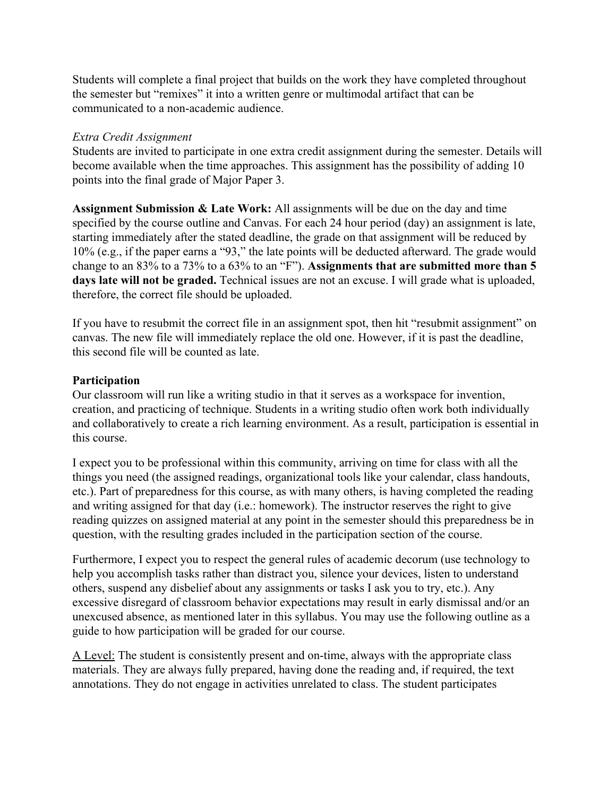Students will complete a final project that builds on the work they have completed throughout the semester but "remixes" it into a written genre or multimodal artifact that can be communicated to a non-academic audience.

#### *Extra Credit Assignment*

Students are invited to participate in one extra credit assignment during the semester. Details will become available when the time approaches. This assignment has the possibility of adding 10 points into the final grade of Major Paper 3.

**Assignment Submission & Late Work:** All assignments will be due on the day and time specified by the course outline and Canvas. For each 24 hour period (day) an assignment is late, starting immediately after the stated deadline, the grade on that assignment will be reduced by 10% (e.g., if the paper earns a "93," the late points will be deducted afterward. The grade would change to an 83% to a 73% to a 63% to an "F"). **Assignments that are submitted more than 5 days late will not be graded.** Technical issues are not an excuse. I will grade what is uploaded, therefore, the correct file should be uploaded.

If you have to resubmit the correct file in an assignment spot, then hit "resubmit assignment" on canvas. The new file will immediately replace the old one. However, if it is past the deadline, this second file will be counted as late.

#### **Participation**

Our classroom will run like a writing studio in that it serves as a workspace for invention, creation, and practicing of technique. Students in a writing studio often work both individually and collaboratively to create a rich learning environment. As a result, participation is essential in this course.

I expect you to be professional within this community, arriving on time for class with all the things you need (the assigned readings, organizational tools like your calendar, class handouts, etc.). Part of preparedness for this course, as with many others, is having completed the reading and writing assigned for that day (i.e.: homework). The instructor reserves the right to give reading quizzes on assigned material at any point in the semester should this preparedness be in question, with the resulting grades included in the participation section of the course.

Furthermore, I expect you to respect the general rules of academic decorum (use technology to help you accomplish tasks rather than distract you, silence your devices, listen to understand others, suspend any disbelief about any assignments or tasks I ask you to try, etc.). Any excessive disregard of classroom behavior expectations may result in early dismissal and/or an unexcused absence, as mentioned later in this syllabus. You may use the following outline as a guide to how participation will be graded for our course.

A Level: The student is consistently present and on-time, always with the appropriate class materials. They are always fully prepared, having done the reading and, if required, the text annotations. They do not engage in activities unrelated to class. The student participates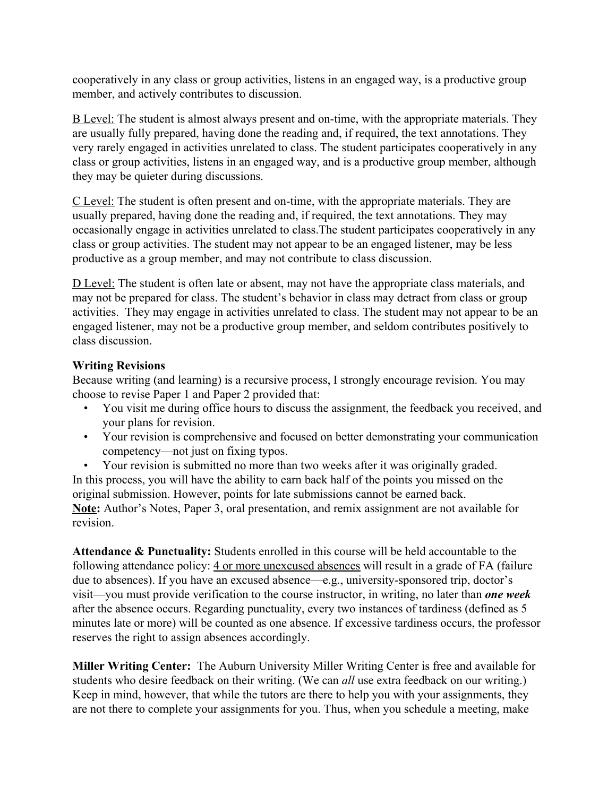cooperatively in any class or group activities, listens in an engaged way, is a productive group member, and actively contributes to discussion.

B Level: The student is almost always present and on-time, with the appropriate materials. They are usually fully prepared, having done the reading and, if required, the text annotations. They very rarely engaged in activities unrelated to class. The student participates cooperatively in any class or group activities, listens in an engaged way, and is a productive group member, although they may be quieter during discussions.

C Level: The student is often present and on-time, with the appropriate materials. They are usually prepared, having done the reading and, if required, the text annotations. They may occasionally engage in activities unrelated to class.The student participates cooperatively in any class or group activities. The student may not appear to be an engaged listener, may be less productive as a group member, and may not contribute to class discussion.

D Level: The student is often late or absent, may not have the appropriate class materials, and may not be prepared for class. The student's behavior in class may detract from class or group activities. They may engage in activities unrelated to class. The student may not appear to be an engaged listener, may not be a productive group member, and seldom contributes positively to class discussion.

# **Writing Revisions**

Because writing (and learning) is a recursive process, I strongly encourage revision. You may choose to revise Paper 1 and Paper 2 provided that:

- You visit me during office hours to discuss the assignment, the feedback you received, and your plans for revision.
- Your revision is comprehensive and focused on better demonstrating your communication competency—not just on fixing typos.

• Your revision is submitted no more than two weeks after it was originally graded. In this process, you will have the ability to earn back half of the points you missed on the original submission. However, points for late submissions cannot be earned back. **Note:** Author's Notes, Paper 3, oral presentation, and remix assignment are not available for revision.

**Attendance & Punctuality:** Students enrolled in this course will be held accountable to the following attendance policy: 4 or more unexcused absences will result in a grade of FA (failure due to absences). If you have an excused absence—e.g., university-sponsored trip, doctor's visit—you must provide verification to the course instructor, in writing, no later than *one week* after the absence occurs. Regarding punctuality, every two instances of tardiness (defined as 5 minutes late or more) will be counted as one absence. If excessive tardiness occurs, the professor reserves the right to assign absences accordingly.

**Miller Writing Center:** The Auburn University Miller Writing Center is free and available for students who desire feedback on their writing. (We can *all* use extra feedback on our writing.) Keep in mind, however, that while the tutors are there to help you with your assignments, they are not there to complete your assignments for you. Thus, when you schedule a meeting, make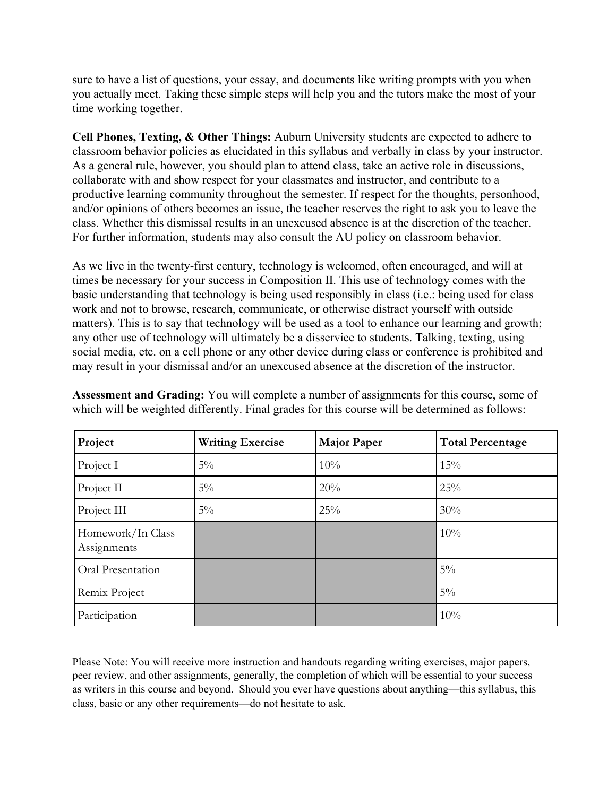sure to have a list of questions, your essay, and documents like writing prompts with you when you actually meet. Taking these simple steps will help you and the tutors make the most of your time working together.

**Cell Phones, Texting, & Other Things:** Auburn University students are expected to adhere to classroom behavior policies as elucidated in this syllabus and verbally in class by your instructor. As a general rule, however, you should plan to attend class, take an active role in discussions, collaborate with and show respect for your classmates and instructor, and contribute to a productive learning community throughout the semester. If respect for the thoughts, personhood, and/or opinions of others becomes an issue, the teacher reserves the right to ask you to leave the class. Whether this dismissal results in an unexcused absence is at the discretion of the teacher. For further information, students may also consult the AU policy on classroom behavior.

As we live in the twenty-first century, technology is welcomed, often encouraged, and will at times be necessary for your success in Composition II. This use of technology comes with the basic understanding that technology is being used responsibly in class (i.e.: being used for class work and not to browse, research, communicate, or otherwise distract yourself with outside matters). This is to say that technology will be used as a tool to enhance our learning and growth; any other use of technology will ultimately be a disservice to students. Talking, texting, using social media, etc. on a cell phone or any other device during class or conference is prohibited and may result in your dismissal and/or an unexcused absence at the discretion of the instructor.

| Project                          | <b>Writing Exercise</b> | <b>Major Paper</b> | <b>Total Percentage</b> |
|----------------------------------|-------------------------|--------------------|-------------------------|
| Project I                        | $5\%$                   | 10%                | 15%                     |
| Project II                       | $5\%$                   | 20%                | 25%                     |
| Project III                      | $5\%$                   | 25%                | 30%                     |
| Homework/In Class<br>Assignments |                         |                    | 10%                     |
| Oral Presentation                |                         |                    | $5\%$                   |
| Remix Project                    |                         |                    | $5\%$                   |
| Participation                    |                         |                    | 10%                     |

**Assessment and Grading:** You will complete a number of assignments for this course, some of which will be weighted differently. Final grades for this course will be determined as follows:

Please Note: You will receive more instruction and handouts regarding writing exercises, major papers, peer review, and other assignments, generally, the completion of which will be essential to your success as writers in this course and beyond. Should you ever have questions about anything—this syllabus, this class, basic or any other requirements—do not hesitate to ask.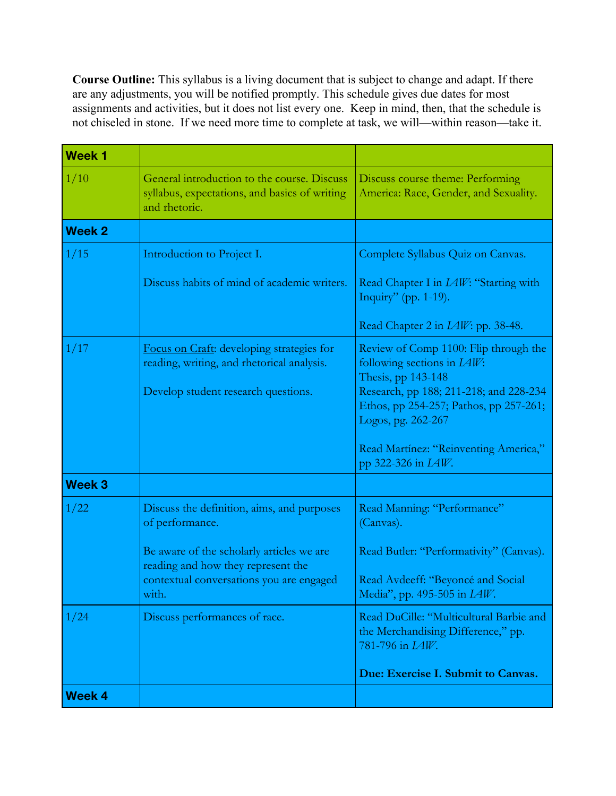**Course Outline:** This syllabus is a living document that is subject to change and adapt. If there are any adjustments, you will be notified promptly. This schedule gives due dates for most assignments and activities, but it does not list every one. Keep in mind, then, that the schedule is not chiseled in stone. If we need more time to complete at task, we will—within reason—take it.

| <b>Week 1</b> |                                                                                                               |                                                                                                          |
|---------------|---------------------------------------------------------------------------------------------------------------|----------------------------------------------------------------------------------------------------------|
| 1/10          | General introduction to the course. Discuss<br>syllabus, expectations, and basics of writing<br>and rhetoric. | Discuss course theme: Performing<br>America: Race, Gender, and Sexuality.                                |
| <b>Week 2</b> |                                                                                                               |                                                                                                          |
| 1/15          | Introduction to Project I.                                                                                    | Complete Syllabus Quiz on Canvas.                                                                        |
|               | Discuss habits of mind of academic writers.                                                                   | Read Chapter I in <i>LAW</i> : "Starting with<br>Inquiry" (pp. 1-19).                                    |
|               |                                                                                                               | Read Chapter 2 in <i>LAW</i> : pp. 38-48.                                                                |
| 1/17          | Focus on Craft: developing strategies for<br>reading, writing, and rhetorical analysis.                       | Review of Comp 1100: Flip through the<br>following sections in $L4W$ :<br>Thesis, pp 143-148             |
|               | Develop student research questions.                                                                           | Research, pp 188; 211-218; and 228-234<br>Ethos, pp 254-257; Pathos, pp 257-261;<br>Logos, pg. 262-267   |
|               |                                                                                                               | Read Martínez: "Reinventing America,"<br>pp 322-326 in <i>IAW</i> .                                      |
| <b>Week 3</b> |                                                                                                               |                                                                                                          |
| 1/22          | Discuss the definition, aims, and purposes<br>of performance.                                                 | Read Manning: "Performance"<br>(Canvas).                                                                 |
|               | Be aware of the scholarly articles we are<br>reading and how they represent the                               | Read Butler: "Performativity" (Canvas).                                                                  |
|               | contextual conversations you are engaged<br>with.                                                             | Read Avdeeff: "Beyoncé and Social<br>Media", pp. 495-505 in <i>LAW</i> .                                 |
| 1/24          | Discuss performances of race.                                                                                 | Read DuCille: "Multicultural Barbie and<br>the Merchandising Difference," pp.<br>781-796 in <i>IAW</i> . |
|               |                                                                                                               | Due: Exercise I. Submit to Canvas.                                                                       |
| Week 4        |                                                                                                               |                                                                                                          |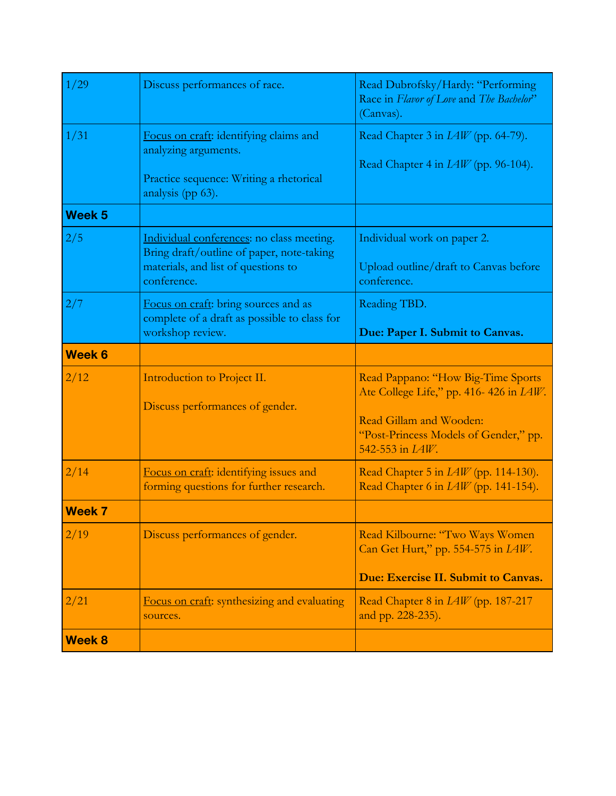| 1/29              | Discuss performances of race.                                                                                                                | Read Dubrofsky/Hardy: "Performing<br>Race in Flavor of Love and The Bachelor"<br>(Canvas).                                                                                          |
|-------------------|----------------------------------------------------------------------------------------------------------------------------------------------|-------------------------------------------------------------------------------------------------------------------------------------------------------------------------------------|
| 1/31              | Focus on craft: identifying claims and<br>analyzing arguments.<br>Practice sequence: Writing a rhetorical<br>analysis (pp 63).               | Read Chapter 3 in <i>LAW</i> (pp. 64-79).<br>Read Chapter 4 in <i>LAW</i> (pp. 96-104).                                                                                             |
| Week <sub>5</sub> |                                                                                                                                              |                                                                                                                                                                                     |
| 2/5               | Individual conferences: no class meeting.<br>Bring draft/outline of paper, note-taking<br>materials, and list of questions to<br>conference. | Individual work on paper 2.<br>Upload outline/draft to Canvas before<br>conference.                                                                                                 |
| 2/7               | Focus on craft: bring sources and as<br>complete of a draft as possible to class for<br>workshop review.                                     | Reading TBD.<br>Due: Paper I. Submit to Canvas.                                                                                                                                     |
| Week 6            |                                                                                                                                              |                                                                                                                                                                                     |
| 2/12              | Introduction to Project II.<br>Discuss performances of gender.                                                                               | Read Pappano: "How Big-Time Sports<br>Ate College Life," pp. 416-426 in <i>LAW</i> .<br>Read Gillam and Wooden:<br>"Post-Princess Models of Gender," pp.<br>542-553 in <i>LAW</i> . |
| 2/14              | Focus on craft: identifying issues and<br>forming questions for further research.                                                            | Read Chapter 5 in $IAW$ (pp. 114-130).<br>Read Chapter 6 in <i>LAW</i> (pp. 141-154).                                                                                               |
| <b>Week 7</b>     |                                                                                                                                              |                                                                                                                                                                                     |
| 2/19              | Discuss performances of gender.                                                                                                              | Read Kilbourne: "Two Ways Women<br>Can Get Hurt," pp. 554-575 in <i>LAW</i> .<br>Due: Exercise II. Submit to Canvas.                                                                |
| 2/21              | Focus on craft: synthesizing and evaluating<br>sources.                                                                                      | Read Chapter 8 in <i>LAW</i> (pp. 187-217<br>and pp. 228-235).                                                                                                                      |
| <b>Week 8</b>     |                                                                                                                                              |                                                                                                                                                                                     |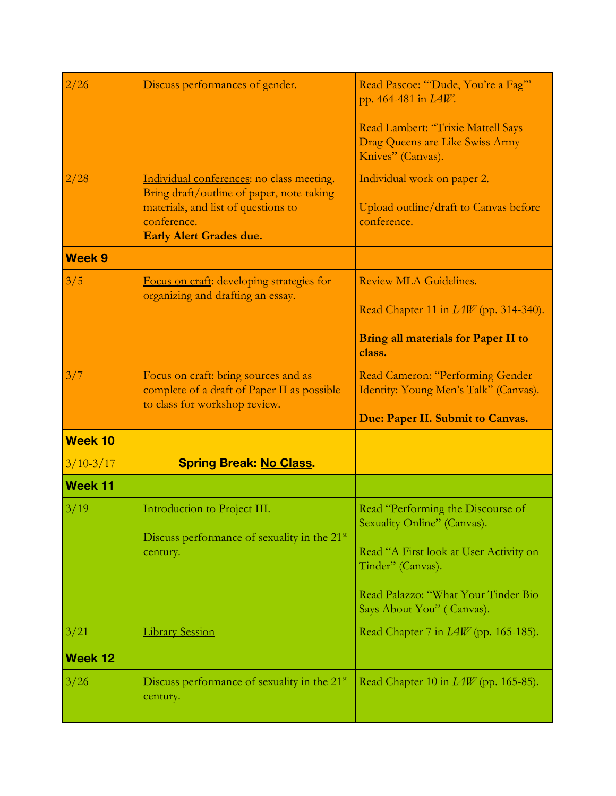| 2/26           | Discuss performances of gender.                                                                                                                                                | Read Pascoe: "Dude, You're a Fag""<br>pp. 464-481 in <i>LAW</i> .<br>Read Lambert: "Trixie Mattell Says<br>Drag Queens are Like Swiss Army<br>Knives" (Canvas).                                     |
|----------------|--------------------------------------------------------------------------------------------------------------------------------------------------------------------------------|-----------------------------------------------------------------------------------------------------------------------------------------------------------------------------------------------------|
| 2/28           | Individual conferences: no class meeting.<br>Bring draft/outline of paper, note-taking<br>materials, and list of questions to<br>conference.<br><b>Early Alert Grades due.</b> | Individual work on paper 2.<br>Upload outline/draft to Canvas before<br>conference.                                                                                                                 |
| <b>Week 9</b>  |                                                                                                                                                                                |                                                                                                                                                                                                     |
| 3/5            | Focus on craft: developing strategies for<br>organizing and drafting an essay.                                                                                                 | Review MLA Guidelines.<br>Read Chapter 11 in $IAW$ (pp. 314-340).                                                                                                                                   |
|                |                                                                                                                                                                                | <b>Bring all materials for Paper II to</b><br>class.                                                                                                                                                |
| 3/7            | Focus on craft: bring sources and as<br>complete of a draft of Paper II as possible<br>to class for workshop review.                                                           | Read Cameron: "Performing Gender<br>Identity: Young Men's Talk" (Canvas).<br>Due: Paper II. Submit to Canvas.                                                                                       |
| <b>Week 10</b> |                                                                                                                                                                                |                                                                                                                                                                                                     |
| $3/10-3/17$    | <b>Spring Break: No Class.</b>                                                                                                                                                 |                                                                                                                                                                                                     |
| <b>Week 11</b> |                                                                                                                                                                                |                                                                                                                                                                                                     |
| 3/19           | Introduction to Project III.<br>Discuss performance of sexuality in the 21 <sup>st</sup><br>century.                                                                           | Read "Performing the Discourse of<br>Sexuality Online" (Canvas).<br>Read "A First look at User Activity on<br>Tinder" (Canvas).<br>Read Palazzo: "What Your Tinder Bio<br>Says About You" (Canvas). |
| 3/21           | <b>Library Session</b>                                                                                                                                                         | Read Chapter 7 in <i>LAW</i> (pp. 165-185).                                                                                                                                                         |
| Week 12        |                                                                                                                                                                                |                                                                                                                                                                                                     |
| 3/26           | Discuss performance of sexuality in the 21 <sup>st</sup><br>century.                                                                                                           | Read Chapter 10 in $IAW$ (pp. 165-85).                                                                                                                                                              |